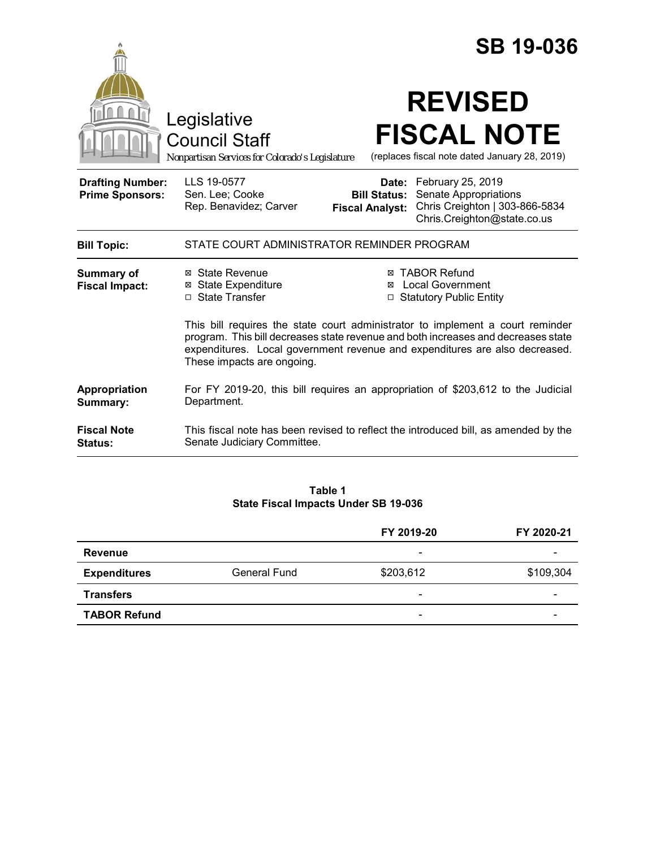|                                                   |                                                                                                                                                                                                                                                                                  |                                                        | <b>SB 19-036</b>                                                                                            |  |
|---------------------------------------------------|----------------------------------------------------------------------------------------------------------------------------------------------------------------------------------------------------------------------------------------------------------------------------------|--------------------------------------------------------|-------------------------------------------------------------------------------------------------------------|--|
|                                                   | Legislative<br><b>Council Staff</b><br>Nonpartisan Services for Colorado's Legislature                                                                                                                                                                                           |                                                        | <b>REVISED</b><br><b>FISCAL NOTE</b><br>(replaces fiscal note dated January 28, 2019)                       |  |
| <b>Drafting Number:</b><br><b>Prime Sponsors:</b> | LLS 19-0577<br>Sen. Lee; Cooke<br>Rep. Benavidez; Carver                                                                                                                                                                                                                         | Date:<br><b>Bill Status:</b><br><b>Fiscal Analyst:</b> | February 25, 2019<br>Senate Appropriations<br>Chris Creighton   303-866-5834<br>Chris.Creighton@state.co.us |  |
| <b>Bill Topic:</b>                                | STATE COURT ADMINISTRATOR REMINDER PROGRAM                                                                                                                                                                                                                                       |                                                        |                                                                                                             |  |
| Summary of<br><b>Fiscal Impact:</b>               | ⊠ State Revenue<br><b>⊠ State Expenditure</b><br>□ State Transfer                                                                                                                                                                                                                | ⊠<br>$\Box$                                            | <b>⊠ TABOR Refund</b><br><b>Local Government</b><br><b>Statutory Public Entity</b>                          |  |
|                                                   | This bill requires the state court administrator to implement a court reminder<br>program. This bill decreases state revenue and both increases and decreases state<br>expenditures. Local government revenue and expenditures are also decreased.<br>These impacts are ongoing. |                                                        |                                                                                                             |  |
| Appropriation<br>Summary:                         | For FY 2019-20, this bill requires an appropriation of \$203,612 to the Judicial<br>Department.                                                                                                                                                                                  |                                                        |                                                                                                             |  |
| <b>Fiscal Note</b><br>Status:                     | This fiscal note has been revised to reflect the introduced bill, as amended by the<br>Senate Judiciary Committee.                                                                                                                                                               |                                                        |                                                                                                             |  |

#### **Table 1 State Fiscal Impacts Under SB 19-036**

|                     |                     | FY 2019-20 | FY 2020-21 |
|---------------------|---------------------|------------|------------|
| <b>Revenue</b>      |                     | -          |            |
| <b>Expenditures</b> | <b>General Fund</b> | \$203,612  | \$109,304  |
| <b>Transfers</b>    |                     | -          | -          |
| <b>TABOR Refund</b> |                     | -          |            |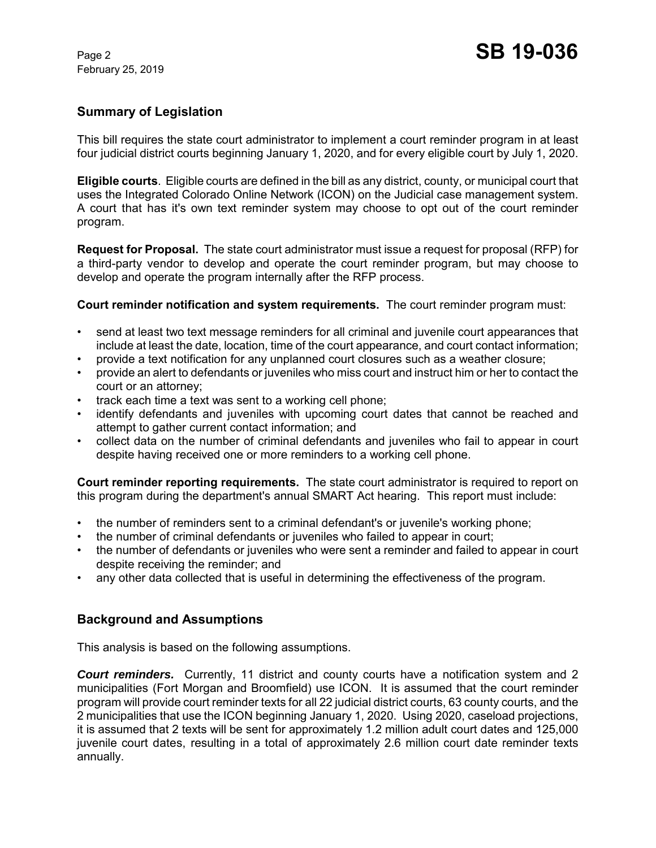February 25, 2019

## **Summary of Legislation**

This bill requires the state court administrator to implement a court reminder program in at least four judicial district courts beginning January 1, 2020, and for every eligible court by July 1, 2020.

**Eligible courts**. Eligible courts are defined in the bill as any district, county, or municipal court that uses the Integrated Colorado Online Network (ICON) on the Judicial case management system. A court that has it's own text reminder system may choose to opt out of the court reminder program.

**Request for Proposal.** The state court administrator must issue a request for proposal (RFP) for a third-party vendor to develop and operate the court reminder program, but may choose to develop and operate the program internally after the RFP process.

**Court reminder notification and system requirements.** The court reminder program must:

- send at least two text message reminders for all criminal and juvenile court appearances that include at least the date, location, time of the court appearance, and court contact information;
- provide a text notification for any unplanned court closures such as a weather closure;
- provide an alert to defendants or juveniles who miss court and instruct him or her to contact the court or an attorney;
- track each time a text was sent to a working cell phone;
- identify defendants and juveniles with upcoming court dates that cannot be reached and attempt to gather current contact information; and
- collect data on the number of criminal defendants and juveniles who fail to appear in court despite having received one or more reminders to a working cell phone.

**Court reminder reporting requirements.** The state court administrator is required to report on this program during the department's annual SMART Act hearing. This report must include:

- the number of reminders sent to a criminal defendant's or juvenile's working phone;
- the number of criminal defendants or juveniles who failed to appear in court;
- the number of defendants or juveniles who were sent a reminder and failed to appear in court despite receiving the reminder; and
- any other data collected that is useful in determining the effectiveness of the program.

### **Background and Assumptions**

This analysis is based on the following assumptions.

*Court reminders.* Currently, 11 district and county courts have a notification system and 2 municipalities (Fort Morgan and Broomfield) use ICON. It is assumed that the court reminder program will provide court reminder texts for all 22 judicial district courts, 63 county courts, and the 2 municipalities that use the ICON beginning January 1, 2020. Using 2020, caseload projections, it is assumed that 2 texts will be sent for approximately 1.2 million adult court dates and 125,000 juvenile court dates, resulting in a total of approximately 2.6 million court date reminder texts annually.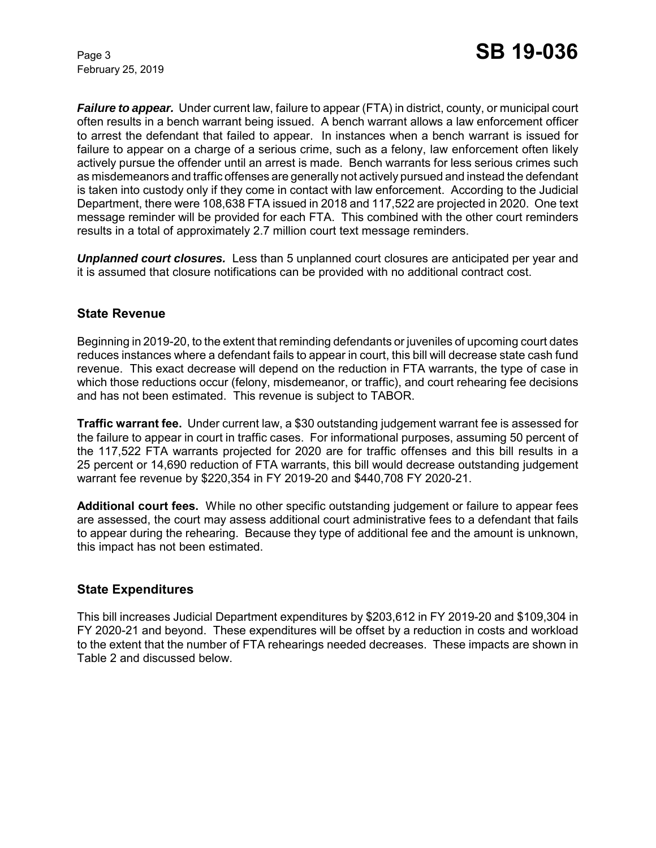February 25, 2019

*Failure to appear.* Under current law, failure to appear (FTA) in district, county, or municipal court often results in a bench warrant being issued. A bench warrant allows a law enforcement officer to arrest the defendant that failed to appear. In instances when a bench warrant is issued for failure to appear on a charge of a serious crime, such as a felony, law enforcement often likely actively pursue the offender until an arrest is made. Bench warrants for less serious crimes such as misdemeanors and traffic offenses are generally not actively pursued and instead the defendant is taken into custody only if they come in contact with law enforcement. According to the Judicial Department, there were 108,638 FTA issued in 2018 and 117,522 are projected in 2020. One text message reminder will be provided for each FTA. This combined with the other court reminders results in a total of approximately 2.7 million court text message reminders.

*Unplanned court closures.* Less than 5 unplanned court closures are anticipated per year and it is assumed that closure notifications can be provided with no additional contract cost.

## **State Revenue**

Beginning in 2019-20, to the extent that reminding defendants or juveniles of upcoming court dates reduces instances where a defendant fails to appear in court, this bill will decrease state cash fund revenue. This exact decrease will depend on the reduction in FTA warrants, the type of case in which those reductions occur (felony, misdemeanor, or traffic), and court rehearing fee decisions and has not been estimated. This revenue is subject to TABOR.

**Traffic warrant fee.** Under current law, a \$30 outstanding judgement warrant fee is assessed for the failure to appear in court in traffic cases. For informational purposes, assuming 50 percent of the 117,522 FTA warrants projected for 2020 are for traffic offenses and this bill results in a 25 percent or 14,690 reduction of FTA warrants, this bill would decrease outstanding judgement warrant fee revenue by \$220,354 in FY 2019-20 and \$440,708 FY 2020-21.

**Additional court fees.** While no other specific outstanding judgement or failure to appear fees are assessed, the court may assess additional court administrative fees to a defendant that fails to appear during the rehearing. Because they type of additional fee and the amount is unknown, this impact has not been estimated.

### **State Expenditures**

This bill increases Judicial Department expenditures by \$203,612 in FY 2019-20 and \$109,304 in FY 2020-21 and beyond. These expenditures will be offset by a reduction in costs and workload to the extent that the number of FTA rehearings needed decreases. These impacts are shown in Table 2 and discussed below.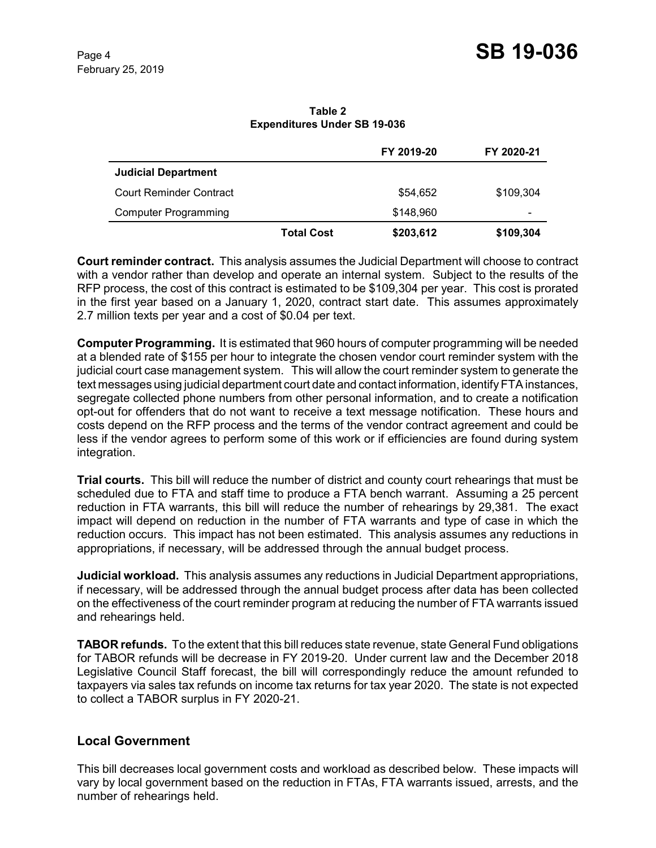**Table 2 Expenditures Under SB 19-036**

|                                |                   | FY 2019-20 | FY 2020-21 |
|--------------------------------|-------------------|------------|------------|
| <b>Judicial Department</b>     |                   |            |            |
| <b>Court Reminder Contract</b> |                   | \$54.652   | \$109,304  |
| <b>Computer Programming</b>    |                   | \$148,960  | -          |
|                                | <b>Total Cost</b> | \$203,612  | \$109,304  |

**Court reminder contract.** This analysis assumes the Judicial Department will choose to contract with a vendor rather than develop and operate an internal system. Subject to the results of the RFP process, the cost of this contract is estimated to be \$109,304 per year. This cost is prorated in the first year based on a January 1, 2020, contract start date. This assumes approximately 2.7 million texts per year and a cost of \$0.04 per text.

**Computer Programming.** It is estimated that 960 hours of computer programming will be needed at a blended rate of \$155 per hour to integrate the chosen vendor court reminder system with the judicial court case management system. This will allow the court reminder system to generate the text messages using judicial department court date and contact information, identify FTA instances, segregate collected phone numbers from other personal information, and to create a notification opt-out for offenders that do not want to receive a text message notification. These hours and costs depend on the RFP process and the terms of the vendor contract agreement and could be less if the vendor agrees to perform some of this work or if efficiencies are found during system integration.

**Trial courts.** This bill will reduce the number of district and county court rehearings that must be scheduled due to FTA and staff time to produce a FTA bench warrant. Assuming a 25 percent reduction in FTA warrants, this bill will reduce the number of rehearings by 29,381. The exact impact will depend on reduction in the number of FTA warrants and type of case in which the reduction occurs. This impact has not been estimated. This analysis assumes any reductions in appropriations, if necessary, will be addressed through the annual budget process.

**Judicial workload.** This analysis assumes any reductions in Judicial Department appropriations, if necessary, will be addressed through the annual budget process after data has been collected on the effectiveness of the court reminder program at reducing the number of FTA warrants issued and rehearings held.

**TABOR refunds.** To the extent that this bill reduces state revenue, state General Fund obligations for TABOR refunds will be decrease in FY 2019-20. Under current law and the December 2018 Legislative Council Staff forecast, the bill will correspondingly reduce the amount refunded to taxpayers via sales tax refunds on income tax returns for tax year 2020. The state is not expected to collect a TABOR surplus in FY 2020-21.

# **Local Government**

This bill decreases local government costs and workload as described below. These impacts will vary by local government based on the reduction in FTAs, FTA warrants issued, arrests, and the number of rehearings held.